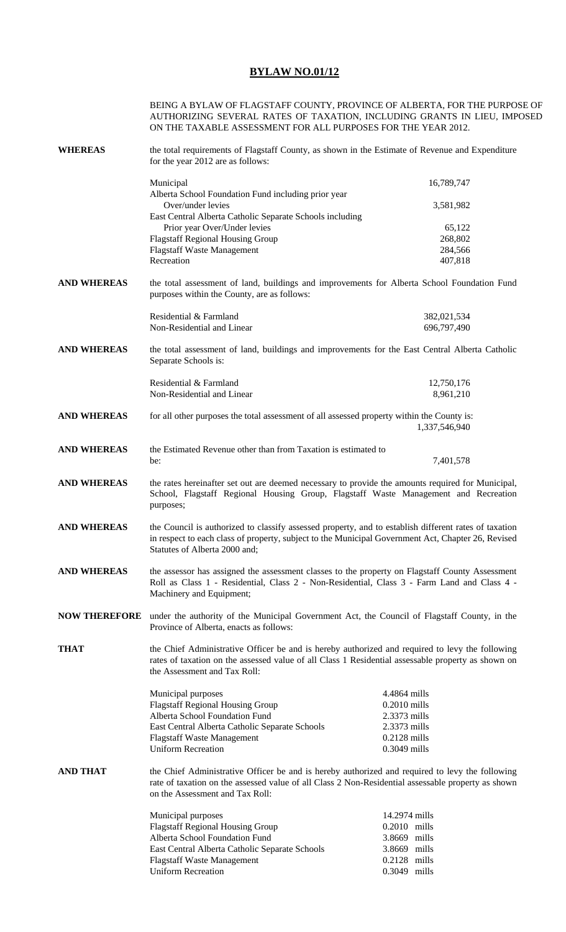## **BYLAW NO.01/12**

|                                                                                                                                              | BEING A BYLAW OF FLAGSTAFF COUNTY, PROVINCE OF ALBERTA, FOR THE PURPOSE OF<br>AUTHORIZING SEVERAL RATES OF TAXATION, INCLUDING GRANTS IN LIEU, IMPOSED<br>ON THE TAXABLE ASSESSMENT FOR ALL PURPOSES FOR THE YEAR 2012.                      |                                  |  |
|----------------------------------------------------------------------------------------------------------------------------------------------|----------------------------------------------------------------------------------------------------------------------------------------------------------------------------------------------------------------------------------------------|----------------------------------|--|
| <b>WHEREAS</b>                                                                                                                               | the total requirements of Flagstaff County, as shown in the Estimate of Revenue and Expenditure<br>for the year 2012 are as follows:                                                                                                         |                                  |  |
|                                                                                                                                              | Municipal                                                                                                                                                                                                                                    | 16,789,747                       |  |
|                                                                                                                                              | Alberta School Foundation Fund including prior year                                                                                                                                                                                          |                                  |  |
|                                                                                                                                              | Over/under levies                                                                                                                                                                                                                            | 3,581,982                        |  |
|                                                                                                                                              | East Central Alberta Catholic Separate Schools including<br>Prior year Over/Under levies                                                                                                                                                     | 65,122                           |  |
|                                                                                                                                              | <b>Flagstaff Regional Housing Group</b>                                                                                                                                                                                                      | 268,802                          |  |
|                                                                                                                                              | <b>Flagstaff Waste Management</b>                                                                                                                                                                                                            | 284,566                          |  |
|                                                                                                                                              | Recreation                                                                                                                                                                                                                                   | 407,818                          |  |
| <b>AND WHEREAS</b>                                                                                                                           | the total assessment of land, buildings and improvements for Alberta School Foundation Fund<br>purposes within the County, are as follows:                                                                                                   |                                  |  |
|                                                                                                                                              | Residential & Farmland                                                                                                                                                                                                                       | 382,021,534                      |  |
|                                                                                                                                              | Non-Residential and Linear                                                                                                                                                                                                                   | 696,797,490                      |  |
| <b>AND WHEREAS</b><br>the total assessment of land, buildings and improvements for the East Central Alberta Catholic<br>Separate Schools is: |                                                                                                                                                                                                                                              |                                  |  |
|                                                                                                                                              | Residential & Farmland                                                                                                                                                                                                                       | 12,750,176                       |  |
|                                                                                                                                              | Non-Residential and Linear                                                                                                                                                                                                                   | 8,961,210                        |  |
| <b>AND WHEREAS</b>                                                                                                                           | for all other purposes the total assessment of all assessed property within the County is:<br>1,337,546,940                                                                                                                                  |                                  |  |
| <b>AND WHEREAS</b>                                                                                                                           | the Estimated Revenue other than from Taxation is estimated to                                                                                                                                                                               |                                  |  |
|                                                                                                                                              | be:                                                                                                                                                                                                                                          | 7,401,578                        |  |
| <b>AND WHEREAS</b>                                                                                                                           | the rates hereinafter set out are deemed necessary to provide the amounts required for Municipal,<br>School, Flagstaff Regional Housing Group, Flagstaff Waste Management and Recreation<br>purposes;                                        |                                  |  |
| <b>AND WHEREAS</b>                                                                                                                           | the Council is authorized to classify assessed property, and to establish different rates of taxation<br>in respect to each class of property, subject to the Municipal Government Act, Chapter 26, Revised<br>Statutes of Alberta 2000 and; |                                  |  |
| <b>AND WHEREAS</b>                                                                                                                           | the assessor has assigned the assessment classes to the property on Flagstaff County Assessment<br>Roll as Class 1 - Residential, Class 2 - Non-Residential, Class 3 - Farm Land and Class 4 -<br>Machinery and Equipment;                   |                                  |  |
|                                                                                                                                              | NOW THEREFORE under the authority of the Municipal Government Act, the Council of Flagstaff County, in the<br>Province of Alberta, enacts as follows:                                                                                        |                                  |  |
| <b>THAT</b>                                                                                                                                  | the Chief Administrative Officer be and is hereby authorized and required to levy the following<br>rates of taxation on the assessed value of all Class 1 Residential assessable property as shown on<br>the Assessment and Tax Roll:        |                                  |  |
|                                                                                                                                              | Municipal purposes                                                                                                                                                                                                                           | 4.4864 mills                     |  |
|                                                                                                                                              | <b>Flagstaff Regional Housing Group</b>                                                                                                                                                                                                      | 0.2010 mills                     |  |
|                                                                                                                                              | Alberta School Foundation Fund                                                                                                                                                                                                               | 2.3373 mills                     |  |
|                                                                                                                                              | East Central Alberta Catholic Separate Schools<br><b>Flagstaff Waste Management</b>                                                                                                                                                          | 2.3373 mills<br>$0.2128$ mills   |  |
|                                                                                                                                              | <b>Uniform Recreation</b>                                                                                                                                                                                                                    | 0.3049 mills                     |  |
|                                                                                                                                              |                                                                                                                                                                                                                                              |                                  |  |
| <b>AND THAT</b>                                                                                                                              | the Chief Administrative Officer be and is hereby authorized and required to levy the following<br>rate of taxation on the assessed value of all Class 2 Non-Residential assessable property as shown<br>on the Assessment and Tax Roll:     |                                  |  |
|                                                                                                                                              | Municipal purposes                                                                                                                                                                                                                           | 14.2974 mills                    |  |
|                                                                                                                                              | <b>Flagstaff Regional Housing Group</b>                                                                                                                                                                                                      | $0.2010$ mills                   |  |
|                                                                                                                                              | Alberta School Foundation Fund                                                                                                                                                                                                               | 3.8669 mills                     |  |
|                                                                                                                                              | East Central Alberta Catholic Separate Schools                                                                                                                                                                                               | 3.8669 mills                     |  |
|                                                                                                                                              | <b>Flagstaff Waste Management</b><br><b>Uniform Recreation</b>                                                                                                                                                                               | $0.2128$ mills<br>$0.3049$ mills |  |
|                                                                                                                                              |                                                                                                                                                                                                                                              |                                  |  |